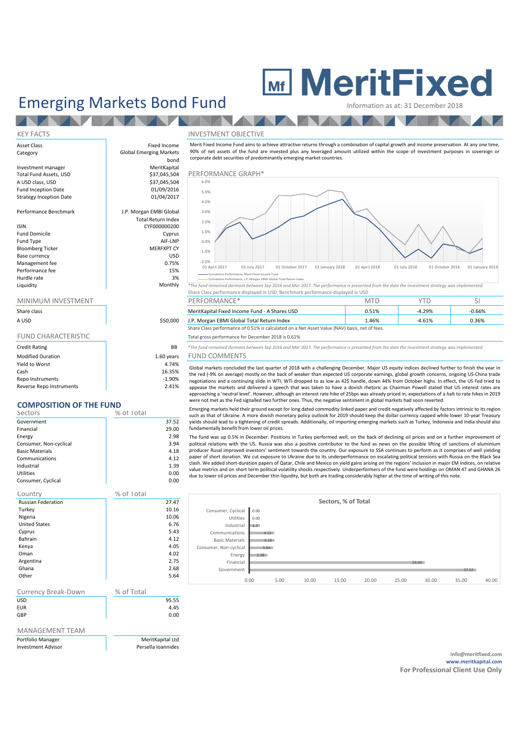# Emerging Markets Bond Fund MeritFixed

 $\sim$   $\sim$ 

## KEY FACTS INVESTMENT OBJECTIVE Asset Class **Fixed Income** Category Global Emerging Markets bond<br>MeritKapital Investment manager and a merit MeritKapital<br>
Total Fund Assets, USD and a merit of the Santa Stranger and Santa Stranger and Santa Stranger and MeritKapital A USD class, USD Fund Inception Date 01/09/2016<br>Strategy Inception Date 01/04/2017 Strategy Inception Date Performance Benchmark J.P. Morgan EMBI Global Total Return Index ISIN CYF000000200 Fund Domicile **Cyprus**<br>Fund Type **Cyprus**<br>AIF-LNP Fund Type AIF-LNP Bloomberg Ticker MERFXPT CY<br>
Base currency MERFXPT CY Base currency and the set of the set of the set of the set of the set of the set of the set of the set of the s<br>
Management fee of the set of the set of the set of the set of the set of the set of the set of the set of the Management fee  $0.75\%$ <br>Performance fee  $15\%$ Performance fee Hurdle rate and the set of the set of the set of the set of the set of the set of the set of the set of the set of the set of the set of the set of the set of the set of the set of the set of the set of the set of the set

## MINIMUM INVESTMENT

| Share class                |            |
|----------------------------|------------|
| A USD                      | \$50,000   |
|                            |            |
| <b>FUND CHARACTERISTIC</b> |            |
| <b>Credit Rating</b>       | BB         |
| <b>Modified Duration</b>   | 1.60 years |
| Yield to Worst             | 4.74%      |
| Cash                       | 16.35%     |
| <b>Reno Instruments</b>    | $-1.90%$   |

Reverse Repo Instruments 2.41%

## **COMPOSITION OF THE FUND**

| Sectors                | % of Total |
|------------------------|------------|
| Government             | 37.52      |
| Financial              | 29.00      |
| Energy                 | 2.98       |
| Consumer, Non-cyclical | 3.94       |
| <b>Basic Materials</b> | 4.18       |
| Communications         | 4.12       |
| Industrial             | 1.39       |
| <b>Utilities</b>       | 0.00       |
| Consumer, Cyclical     | 0.00       |

| Country                    | % of Total |       |
|----------------------------|------------|-------|
| <b>Russian Federation</b>  |            | 27.47 |
| Turkey                     |            | 10.16 |
| Nigeria                    |            | 10.06 |
| <b>United States</b>       |            | 6.76  |
| Cyprus                     |            | 5.43  |
| Bahrain                    |            | 4.12  |
| Kenya                      |            | 4.05  |
| Oman                       |            | 4.02  |
| Argentina                  |            | 2.75  |
| Ghana                      |            | 2.68  |
| Other                      |            | 5.64  |
|                            |            |       |
| <b>Currency Break-Down</b> | % of Total |       |
| <b>USD</b>                 |            | 95.55 |

EUR 4.45 **GBP** 0.00

## MANAGEMENT TEAM

| Portfolio Manager         |  |
|---------------------------|--|
| <b>Investment Advisor</b> |  |

**MeritKapital Ltd** Persella Ioannides

Merit Fixed Income Fund aims to achieve attractive returns through a combination of capital growth and income preservation. At any one time, 90% of net assets of the fund are invested plus any leveraged amount utilized within the scope of investment purposes in sovereign or corporate debt securities of predominantly emerging market countries.





anulal state and the performance, JP. Morgan EBM Global Total Return Index<br>Monthly \*The fund remained dormant between Sep 2016 and Mar 2017. The performance is presented from the date the investment strategy was implemente Share Class performance displayed in USD, Benchmark performance displayed in USD

| MINIMUM INVESTMENT |          | PERFORMANCE <sup>®</sup>                      | VI   |          |          |
|--------------------|----------|-----------------------------------------------|------|----------|----------|
| Share class        |          | MeritKapital Fixed Income Fund - A Shares USD |      | 4.29%    | $-0.66%$ |
| A USD              | \$50,000 | J.P. Morgan EBMI Global Total Return Index    | 46%. | $-4.61%$ | 0.36%    |

Share Class performance of 0.51% is calculated on a Net Asset Value (NAV) basis, net of fees.

### Total gross performance for December 2018 is 0.61%

Credit Rating BB *\*The fund remained dormant between Sep 2016 and Mar 2017. The performance is presented from the date the investment strategy was implemented.* FUND COMMENTS

Global markets concluded the last quarter of 2018 with a challenging December. Major US equity indices declined further to finish the year in the red (-9% on average) mostly on the back of weaker than expected US corporate earnings, global growth concerns, ongoing US-China trade negotiations and a continuing slide in WTI; WTI dropped to as low as 42\$ handle, down 44% from October highs. In effect, the US Fed tried to appease the markets and delivered a speech that was taken to have a dovish rhetoric as Chairman Powell stated that US interest rates are approaching a 'neutral level'. However, although an interest rate hike of 25bps was already priced in, expectations of a halt to rate hikes in 2019 were not met as the Fed signalled two further ones. Thus, the negative sentiment in global markets had soon reverted.

Emerging markets held their ground except for long dated commodity linked paper and credit negatively affected by factors intrinsic to its region such as that of Ukraine. A more dovish monetary policy outlook for 2019 should keep the dollar currency capped while lower 10-year Treasury yields should lead to a tightening of credit spreads. Additionally, oil importing emerging markets such as Turkey, Indonesia and India should also fundamentally benefit from lower oil prices.

The fund was up 0.5% in December. Positions in Turkey performed well, on the back of declining oil prices and on a further improvement of political relations with the US. Russia was also a positive contributor to the fund as news on the possible lifting of sanctions of aluminium producer Rusal improved investors' sentiment towards the country. Our exposure to SSA continues to perform as it comprises of well yielding paper of short duration. We cut exposure to Ukraine due to its underperformance on escalating political tensions with Russia on the Black Sea clash. We added short-duration papers of Qatar, Chile and Mexico on yield gains arising on the regions' inclusion in major EM indices, on relative value metrics and on short term political volatility shocks respectively. Underperformers of the fund were holdings on OMAN 47 and GHANA 26 due to lower oil prices and December thin liquidity, but both are trading considerably higher at the time of writing of this note.

| Sectors, % of Total    |      |      |       |       |       |       |       |       |       |
|------------------------|------|------|-------|-------|-------|-------|-------|-------|-------|
| Consumer, Cyclical     | 0.00 |      |       |       |       |       |       |       |       |
| Utilities              | 0.00 |      |       |       |       |       |       |       |       |
| Industrial             | 1.39 |      |       |       |       |       |       |       |       |
| Communications         | 4.12 |      |       |       |       |       |       |       |       |
| <b>Basic Materials</b> | 4.18 |      |       |       |       |       |       |       |       |
| Consumer, Non-cyclical | 3.94 |      |       |       |       |       |       |       |       |
| Energy                 | 2.98 |      |       |       |       |       |       |       |       |
| Financial              |      |      |       |       |       | 29.00 |       |       |       |
| Government             |      |      |       |       |       |       |       | 37.52 |       |
|                        | 0.00 | 5.00 | 10.00 | 15.00 | 20.00 | 25.00 | 30.00 | 35.00 | 40.00 |